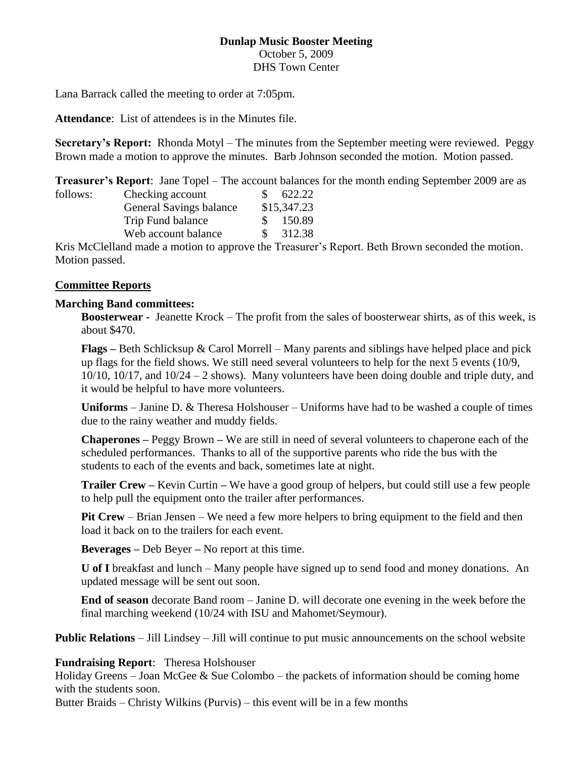#### **Dunlap Music Booster Meeting** October 5, 2009 DHS Town Center

Lana Barrack called the meeting to order at 7:05pm.

**Attendance**: List of attendees is in the Minutes file.

**Secretary's Report:** Rhonda Motyl – The minutes from the September meeting were reviewed. Peggy Brown made a motion to approve the minutes. Barb Johnson seconded the motion. Motion passed.

**Treasurer's Report**: Jane Topel – The account balances for the month ending September 2009 are as

| follows: | Checking account        | 622.22      |
|----------|-------------------------|-------------|
|          | General Savings balance | \$15,347.23 |
|          | Trip Fund balance       | 150.89      |
|          | Web account balance     | 312.38      |
|          |                         |             |

Kris McClelland made a motion to approve the Treasurer's Report. Beth Brown seconded the motion. Motion passed.

### **Committee Reports**

### **Marching Band committees:**

**Boosterwear -** Jeanette Krock – The profit from the sales of boosterwear shirts, as of this week, is about \$470.

**Flags –** Beth Schlicksup & Carol Morrell – Many parents and siblings have helped place and pick up flags for the field shows. We still need several volunteers to help for the next 5 events (10/9,  $10/10$ ,  $10/17$ , and  $10/24 - 2$  shows). Many volunteers have been doing double and triple duty, and it would be helpful to have more volunteers.

**Uniforms** – Janine D. & Theresa Holshouser – Uniforms have had to be washed a couple of times due to the rainy weather and muddy fields.

**Chaperones –** Peggy Brown **–** We are still in need of several volunteers to chaperone each of the scheduled performances. Thanks to all of the supportive parents who ride the bus with the students to each of the events and back, sometimes late at night.

**Trailer Crew –** Kevin Curtin **–** We have a good group of helpers, but could still use a few people to help pull the equipment onto the trailer after performances.

**Pit Crew** – Brian Jensen – We need a few more helpers to bring equipment to the field and then load it back on to the trailers for each event.

**Beverages –** Deb Beyer **–** No report at this time.

**U of I** breakfast and lunch – Many people have signed up to send food and money donations. An updated message will be sent out soon.

**End of season** decorate Band room – Janine D. will decorate one evening in the week before the final marching weekend (10/24 with ISU and Mahomet/Seymour).

**Public Relations** – Jill Lindsey – Jill will continue to put music announcements on the school website

### **Fundraising Report**: Theresa Holshouser

Holiday Greens – Joan McGee & Sue Colombo – the packets of information should be coming home with the students soon.

Butter Braids – Christy Wilkins (Purvis) – this event will be in a few months